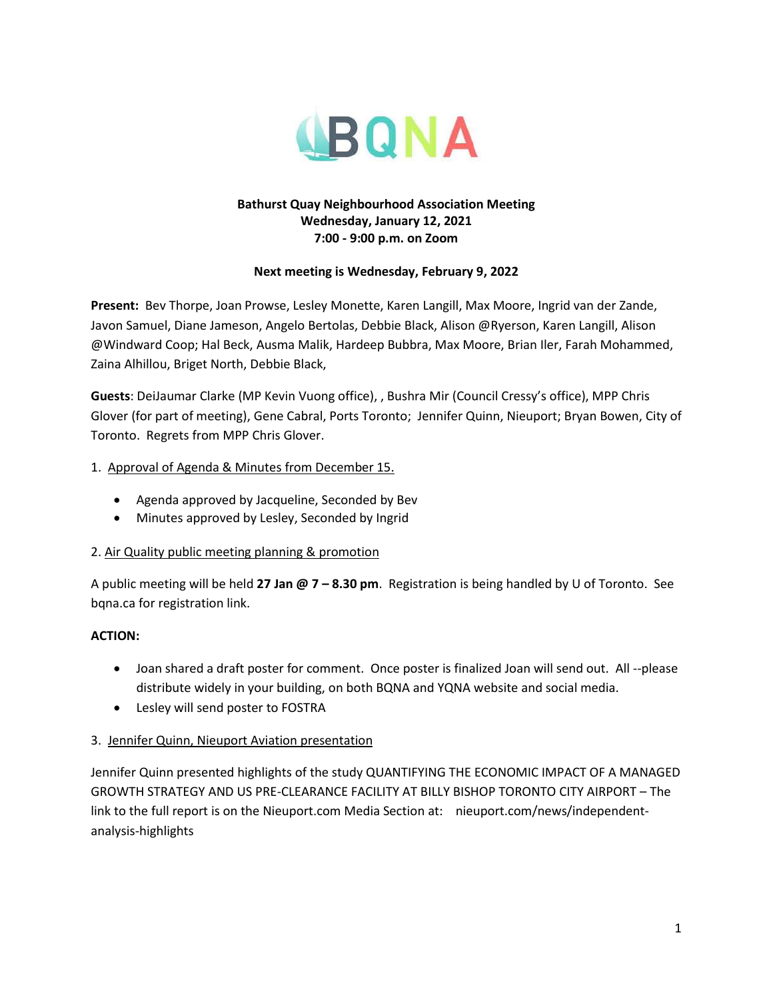

### **Bathurst Quay Neighbourhood Association Meeting Wednesday, January 12, 2021 7:00 - 9:00 p.m. on Zoom**

# **Next meeting is Wednesday, February 9, 2022**

**Present:** Bev Thorpe, Joan Prowse, Lesley Monette, Karen Langill, Max Moore, Ingrid van der Zande, Javon Samuel, Diane Jameson, Angelo Bertolas, Debbie Black, Alison @Ryerson, Karen Langill, Alison @Windward Coop; Hal Beck, Ausma Malik, Hardeep Bubbra, Max Moore, Brian Iler, Farah Mohammed, Zaina Alhillou, Briget North, Debbie Black,

**Guests**: DeiJaumar Clarke (MP Kevin Vuong office), , Bushra Mir (Council Cressy's office), MPP Chris Glover (for part of meeting), Gene Cabral, Ports Toronto; Jennifer Quinn, Nieuport; Bryan Bowen, City of Toronto. Regrets from MPP Chris Glover.

# 1. Approval of Agenda & Minutes from December 15.

- Agenda approved by Jacqueline, Seconded by Bev
- Minutes approved by Lesley, Seconded by Ingrid

# 2. Air Quality public meeting planning & promotion

A public meeting will be held **27 Jan @ 7 – 8.30 pm**. Registration is being handled by U of Toronto. See bqna.ca for registration link.

# **ACTION:**

- Joan shared a draft poster for comment. Once poster is finalized Joan will send out. All --please distribute widely in your building, on both BQNA and YQNA website and social media.
- Lesley will send poster to FOSTRA

# 3. Jennifer Quinn, Nieuport Aviation presentation

Jennifer Quinn presented highlights of the study QUANTIFYING THE ECONOMIC IMPACT OF A MANAGED GROWTH STRATEGY AND US PRE-CLEARANCE FACILITY AT BILLY BISHOP TORONTO CITY AIRPORT – The link to the full report is on the Nieuport.com Media Section at: nieuport.com/news/independentanalysis-highlights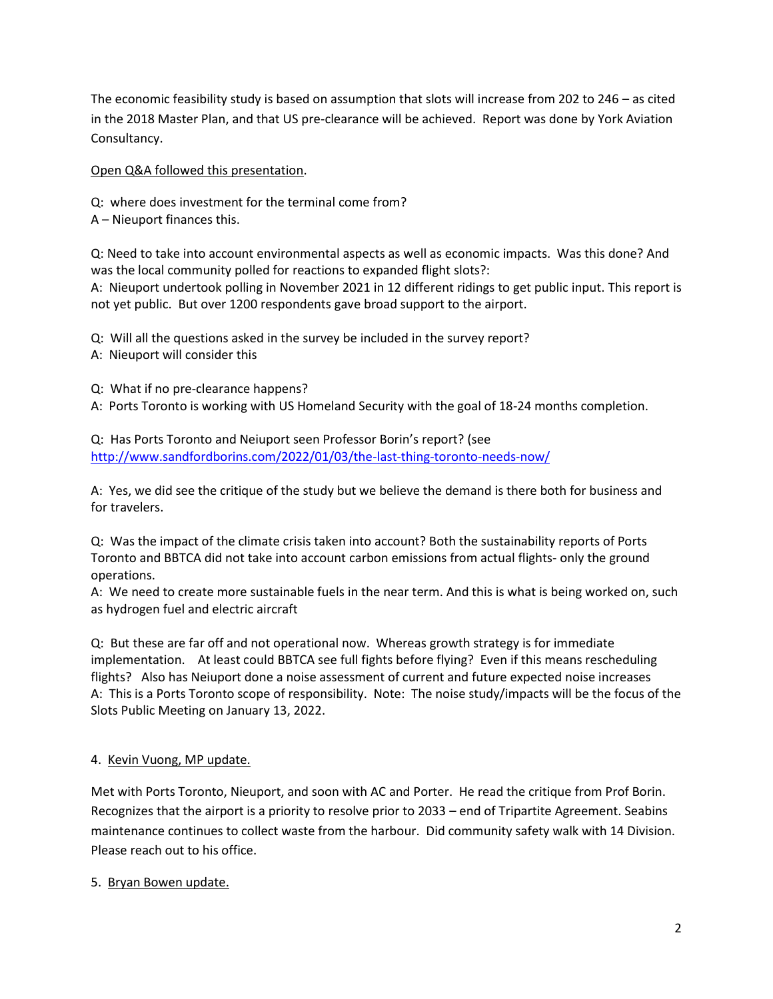The economic feasibility study is based on assumption that slots will increase from 202 to 246 – as cited in the 2018 Master Plan, and that US pre-clearance will be achieved. Report was done by York Aviation Consultancy.

Open Q&A followed this presentation.

Q: where does investment for the terminal come from?

A – Nieuport finances this.

Q: Need to take into account environmental aspects as well as economic impacts. Was this done? And was the local community polled for reactions to expanded flight slots?:

A: Nieuport undertook polling in November 2021 in 12 different ridings to get public input. This report is not yet public. But over 1200 respondents gave broad support to the airport.

Q: Will all the questions asked in the survey be included in the survey report?

A: Nieuport will consider this

Q: What if no pre-clearance happens?

A: Ports Toronto is working with US Homeland Security with the goal of 18-24 months completion.

Q: Has Ports Toronto and Neiuport seen Professor Borin's report? (see <http://www.sandfordborins.com/2022/01/03/the-last-thing-toronto-needs-now/>

A: Yes, we did see the critique of the study but we believe the demand is there both for business and for travelers.

Q: Was the impact of the climate crisis taken into account? Both the sustainability reports of Ports Toronto and BBTCA did not take into account carbon emissions from actual flights- only the ground operations.

A: We need to create more sustainable fuels in the near term. And this is what is being worked on, such as hydrogen fuel and electric aircraft

Q: But these are far off and not operational now. Whereas growth strategy is for immediate implementation. At least could BBTCA see full fights before flying? Even if this means rescheduling flights? Also has Neiuport done a noise assessment of current and future expected noise increases A: This is a Ports Toronto scope of responsibility. Note: The noise study/impacts will be the focus of the Slots Public Meeting on January 13, 2022.

# 4. Kevin Vuong, MP update.

Met with Ports Toronto, Nieuport, and soon with AC and Porter. He read the critique from Prof Borin. Recognizes that the airport is a priority to resolve prior to 2033 – end of Tripartite Agreement. Seabins maintenance continues to collect waste from the harbour. Did community safety walk with 14 Division. Please reach out to his office.

5. Bryan Bowen update.